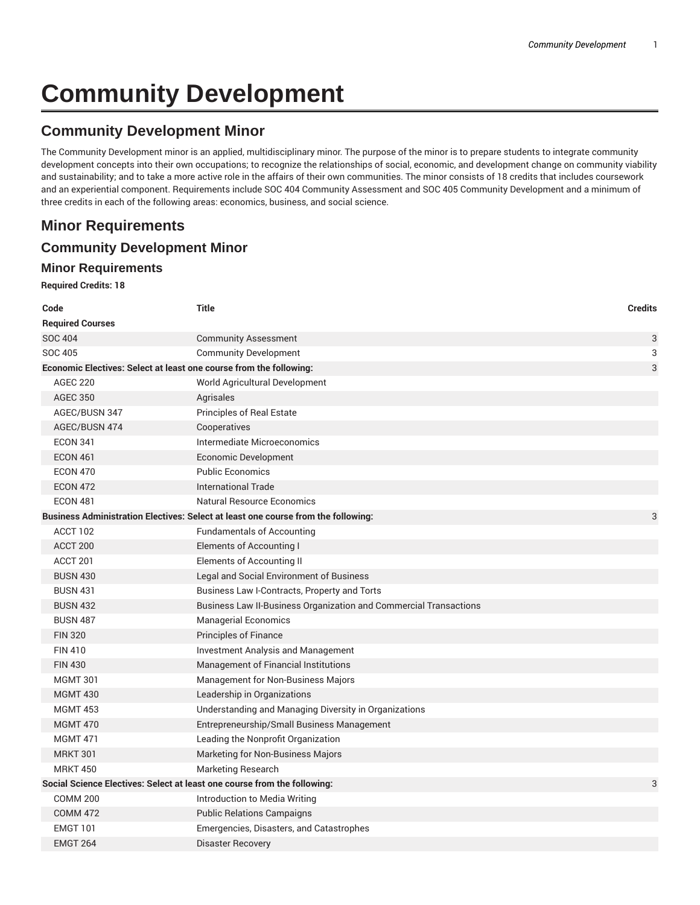# **Community Development**

# **Community Development Minor**

The Community Development minor is an applied, multidisciplinary minor. The purpose of the minor is to prepare students to integrate community development concepts into their own occupations; to recognize the relationships of social, economic, and development change on community viability and sustainability; and to take a more active role in the affairs of their own communities. The minor consists of 18 credits that includes coursework and an experiential component. Requirements include SOC 404 Community Assessment and SOC 405 Community Development and a minimum of three credits in each of the following areas: economics, business, and social science.

## **Minor Requirements**

### **Community Development Minor**

#### **Minor Requirements**

#### **Required Credits: 18**

| Code                                                                              | <b>Title</b>                                                      | <b>Credits</b> |  |  |
|-----------------------------------------------------------------------------------|-------------------------------------------------------------------|----------------|--|--|
| <b>Required Courses</b>                                                           |                                                                   |                |  |  |
| <b>SOC 404</b>                                                                    | <b>Community Assessment</b>                                       | 3              |  |  |
| SOC 405                                                                           | <b>Community Development</b>                                      | 3              |  |  |
| Economic Electives: Select at least one course from the following:                |                                                                   |                |  |  |
| <b>AGEC 220</b>                                                                   | World Agricultural Development                                    |                |  |  |
| <b>AGEC 350</b>                                                                   | Agrisales                                                         |                |  |  |
| AGEC/BUSN 347                                                                     | Principles of Real Estate                                         |                |  |  |
| AGEC/BUSN 474                                                                     | Cooperatives                                                      |                |  |  |
| <b>ECON 341</b>                                                                   | Intermediate Microeconomics                                       |                |  |  |
| <b>ECON 461</b>                                                                   | Economic Development                                              |                |  |  |
| <b>ECON 470</b>                                                                   | <b>Public Economics</b>                                           |                |  |  |
| <b>ECON 472</b>                                                                   | International Trade                                               |                |  |  |
| <b>ECON 481</b>                                                                   | <b>Natural Resource Economics</b>                                 |                |  |  |
| Business Administration Electives: Select at least one course from the following: |                                                                   |                |  |  |
| ACCT 102                                                                          | <b>Fundamentals of Accounting</b>                                 |                |  |  |
| ACCT 200                                                                          | <b>Elements of Accounting I</b>                                   |                |  |  |
| ACCT <sub>201</sub>                                                               | Elements of Accounting II                                         |                |  |  |
| <b>BUSN 430</b>                                                                   | Legal and Social Environment of Business                          |                |  |  |
| <b>BUSN 431</b>                                                                   | Business Law I-Contracts, Property and Torts                      |                |  |  |
| <b>BUSN 432</b>                                                                   | Business Law II-Business Organization and Commercial Transactions |                |  |  |
| <b>BUSN 487</b>                                                                   | <b>Managerial Economics</b>                                       |                |  |  |
| <b>FIN 320</b>                                                                    | Principles of Finance                                             |                |  |  |
| <b>FIN 410</b>                                                                    | <b>Investment Analysis and Management</b>                         |                |  |  |
| <b>FIN 430</b>                                                                    | Management of Financial Institutions                              |                |  |  |
| <b>MGMT 301</b>                                                                   | Management for Non-Business Majors                                |                |  |  |
| <b>MGMT 430</b>                                                                   | Leadership in Organizations                                       |                |  |  |
| <b>MGMT 453</b>                                                                   | Understanding and Managing Diversity in Organizations             |                |  |  |
| <b>MGMT 470</b>                                                                   | Entrepreneurship/Small Business Management                        |                |  |  |
| <b>MGMT 471</b>                                                                   | Leading the Nonprofit Organization                                |                |  |  |
| <b>MRKT 301</b>                                                                   | Marketing for Non-Business Majors                                 |                |  |  |
| <b>MRKT 450</b>                                                                   | Marketing Research                                                |                |  |  |
| Social Science Electives: Select at least one course from the following:          |                                                                   | 3              |  |  |
| <b>COMM 200</b>                                                                   | Introduction to Media Writing                                     |                |  |  |
| <b>COMM 472</b>                                                                   | <b>Public Relations Campaigns</b>                                 |                |  |  |
| <b>EMGT 101</b>                                                                   | Emergencies, Disasters, and Catastrophes                          |                |  |  |
| <b>EMGT 264</b>                                                                   | <b>Disaster Recovery</b>                                          |                |  |  |